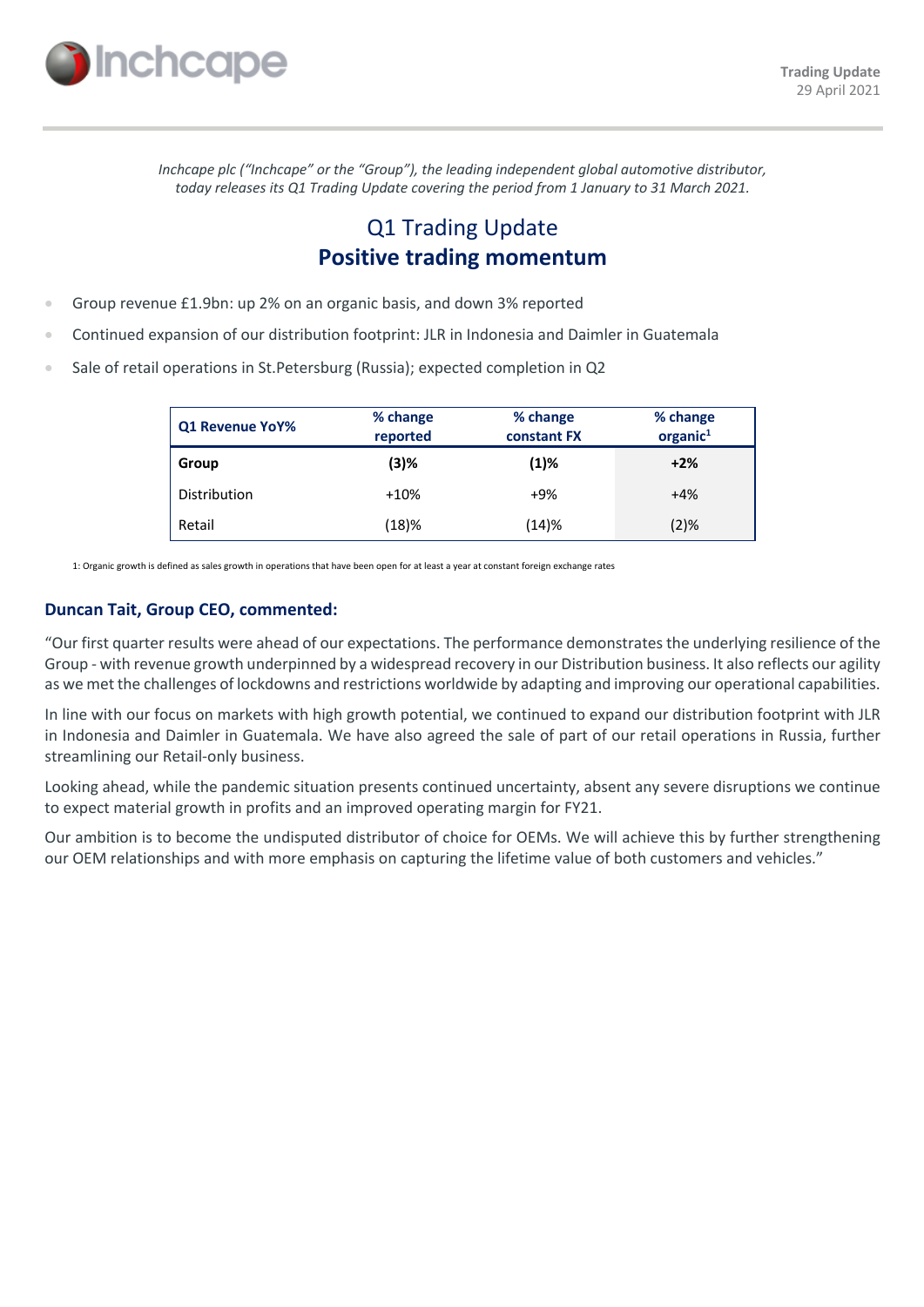

*Inchcape plc ("Inchcape" or the "Group"), the leading independent global automotive distributor, today releases its Q1 Trading Update covering the period from 1 January to 31 March 2021.*

# Q1 Trading Update **Positive trading momentum**

- Group revenue £1.9bn: up 2% on an organic basis, and down 3% reported
- Continued expansion of our distribution footprint: JLR in Indonesia and Daimler in Guatemala
- Sale of retail operations in St.Petersburg (Russia); expected completion in Q2

| Q1 Revenue YoY% | % change<br>reported | % change<br>constant FX | % change<br>$organic1$ |
|-----------------|----------------------|-------------------------|------------------------|
| Group           | (3)%                 | (1)%                    | $+2%$                  |
| Distribution    | $+10%$               | $+9%$                   | $+4%$                  |
| Retail          | (18)%                | (14)%                   | (2)%                   |

1: Organic growth is defined as sales growth in operations that have been open for at least a year at constant foreign exchange rates

### **Duncan Tait, Group CEO, commented:**

"Our first quarter results were ahead of our expectations. The performance demonstrates the underlying resilience of the Group - with revenue growth underpinned by a widespread recovery in our Distribution business. It also reflects our agility as we met the challenges of lockdowns and restrictions worldwide by adapting and improving our operational capabilities.

In line with our focus on markets with high growth potential, we continued to expand our distribution footprint with JLR in Indonesia and Daimler in Guatemala. We have also agreed the sale of part of our retail operations in Russia, further streamlining our Retail-only business.

Looking ahead, while the pandemic situation presents continued uncertainty, absent any severe disruptions we continue to expect material growth in profits and an improved operating margin for FY21.

Our ambition is to become the undisputed distributor of choice for OEMs. We will achieve this by further strengthening our OEM relationships and with more emphasis on capturing the lifetime value of both customers and vehicles."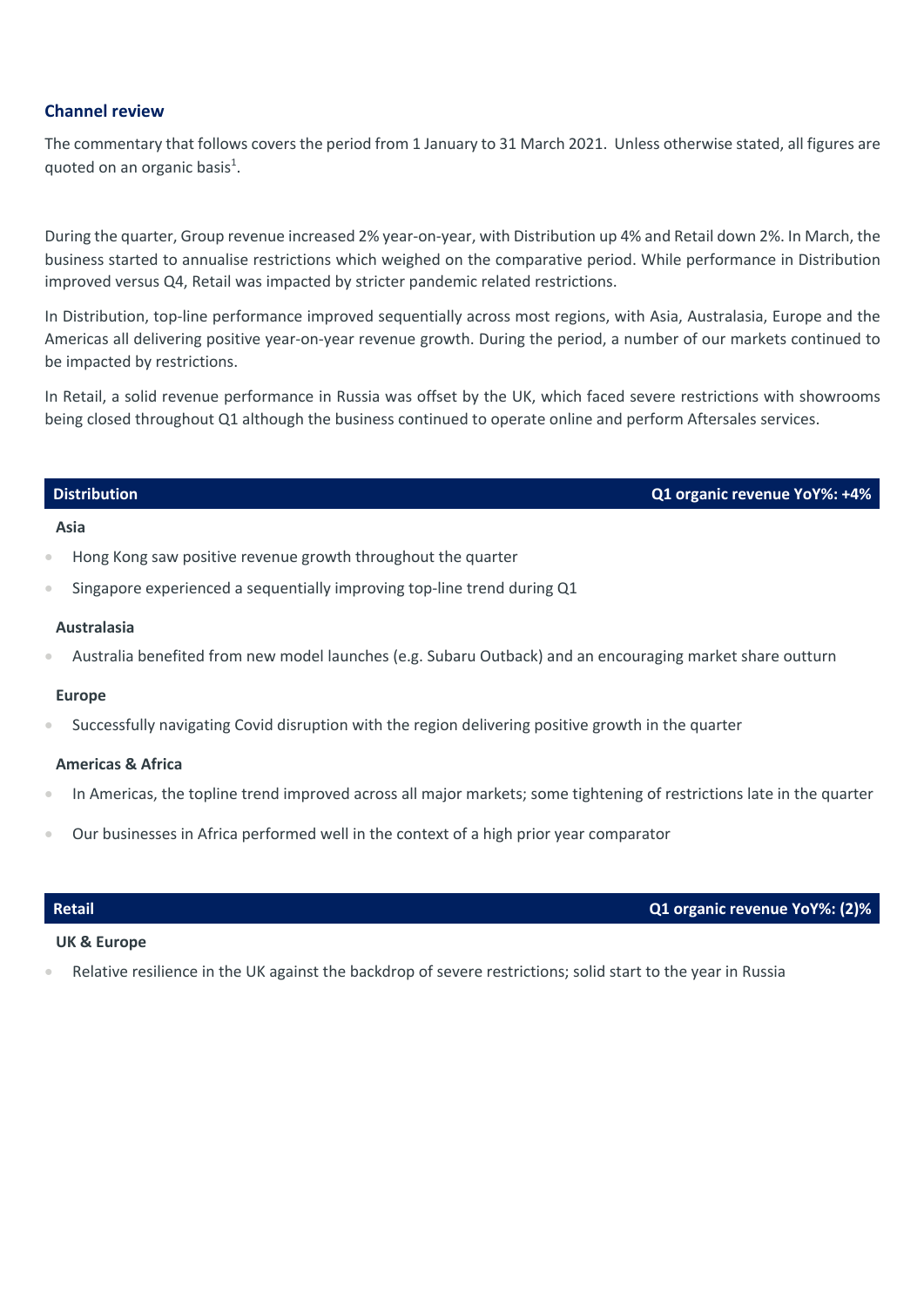## **Channel review**

The commentary that follows covers the period from 1 January to 31 March 2021. Unless otherwise stated, all figures are quoted on an organic basis<sup>1</sup>.

During the quarter, Group revenue increased 2% year-on-year, with Distribution up 4% and Retail down 2%. In March, the business started to annualise restrictions which weighed on the comparative period. While performance in Distribution improved versus Q4, Retail was impacted by stricter pandemic related restrictions.

In Distribution, top-line performance improved sequentially across most regions, with Asia, Australasia, Europe and the Americas all delivering positive year-on-year revenue growth. During the period, a number of our markets continued to be impacted by restrictions.

In Retail, a solid revenue performance in Russia was offset by the UK, which faced severe restrictions with showrooms being closed throughout Q1 although the business continued to operate online and perform Aftersales services.

### **Distribution Q1 organic revenue YoY%: +4%**

### **Asia**

- Hong Kong saw positive revenue growth throughout the quarter
- Singapore experienced a sequentially improving top-line trend during Q1

### **Australasia**

• Australia benefited from new model launches (e.g. Subaru Outback) and an encouraging market share outturn

### **Europe**

• Successfully navigating Covid disruption with the region delivering positive growth in the quarter

### **Americas & Africa**

- In Americas, the topline trend improved across all major markets; some tightening of restrictions late in the quarter
- Our businesses in Africa performed well in the context of a high prior year comparator

# **Retail Q1 organic revenue YoY%: (2)%**

# **UK & Europe**

• Relative resilience in the UK against the backdrop of severe restrictions; solid start to the year in Russia